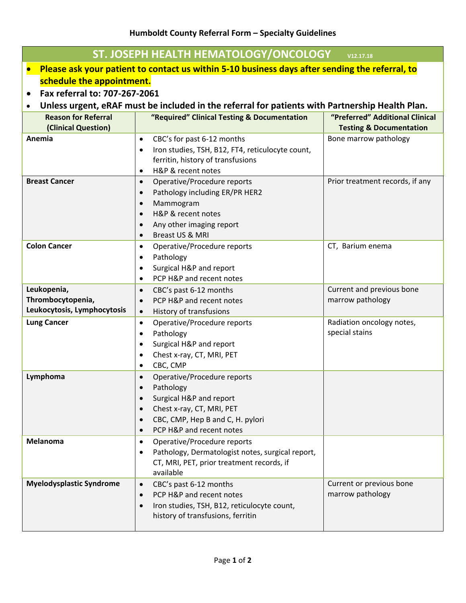## **Humboldt County Referral Form – Specialty Guidelines**

| ST. JOSEPH HEALTH HEMATOLOGY/ONCOLOGY<br>V12.17.18                                                          |                                                                                         |                                             |  |  |  |
|-------------------------------------------------------------------------------------------------------------|-----------------------------------------------------------------------------------------|---------------------------------------------|--|--|--|
| Please ask your patient to contact us within 5-10 business days after sending the referral, to<br>$\bullet$ |                                                                                         |                                             |  |  |  |
| schedule the appointment.                                                                                   |                                                                                         |                                             |  |  |  |
| Fax referral to: 707-267-2061                                                                               |                                                                                         |                                             |  |  |  |
| Unless urgent, eRAF must be included in the referral for patients with Partnership Health Plan.             |                                                                                         |                                             |  |  |  |
| <b>Reason for Referral</b>                                                                                  | "Required" Clinical Testing & Documentation                                             | "Preferred" Additional Clinical             |  |  |  |
| (Clinical Question)                                                                                         |                                                                                         | <b>Testing &amp; Documentation</b>          |  |  |  |
| Anemia                                                                                                      | CBC's for past 6-12 months<br>$\bullet$                                                 | Bone marrow pathology                       |  |  |  |
|                                                                                                             | Iron studies, TSH, B12, FT4, reticulocyte count,<br>$\bullet$                           |                                             |  |  |  |
|                                                                                                             | ferritin, history of transfusions                                                       |                                             |  |  |  |
| <b>Breast Cancer</b>                                                                                        | H&P & recent notes<br>$\bullet$                                                         | Prior treatment records, if any             |  |  |  |
|                                                                                                             | Operative/Procedure reports<br>$\bullet$<br>Pathology including ER/PR HER2<br>$\bullet$ |                                             |  |  |  |
|                                                                                                             | Mammogram<br>$\bullet$                                                                  |                                             |  |  |  |
|                                                                                                             | H&P & recent notes<br>$\bullet$                                                         |                                             |  |  |  |
|                                                                                                             | Any other imaging report<br>$\bullet$                                                   |                                             |  |  |  |
|                                                                                                             | Breast US & MRI<br>$\bullet$                                                            |                                             |  |  |  |
| <b>Colon Cancer</b>                                                                                         | Operative/Procedure reports<br>$\bullet$                                                | CT, Barium enema                            |  |  |  |
|                                                                                                             | Pathology<br>$\bullet$                                                                  |                                             |  |  |  |
|                                                                                                             | Surgical H&P and report<br>$\bullet$                                                    |                                             |  |  |  |
|                                                                                                             | PCP H&P and recent notes<br>$\bullet$                                                   |                                             |  |  |  |
| Leukopenia,                                                                                                 | CBC's past 6-12 months<br>$\bullet$                                                     | Current and previous bone                   |  |  |  |
| Thrombocytopenia,                                                                                           | PCP H&P and recent notes<br>$\bullet$                                                   | marrow pathology                            |  |  |  |
| Leukocytosis, Lymphocytosis                                                                                 | History of transfusions<br>$\bullet$                                                    |                                             |  |  |  |
| <b>Lung Cancer</b>                                                                                          | Operative/Procedure reports<br>$\bullet$<br>Pathology                                   | Radiation oncology notes,<br>special stains |  |  |  |
|                                                                                                             | $\bullet$<br>Surgical H&P and report                                                    |                                             |  |  |  |
|                                                                                                             | Chest x-ray, CT, MRI, PET                                                               |                                             |  |  |  |
|                                                                                                             | CBC, CMP<br>$\bullet$                                                                   |                                             |  |  |  |
| Lymphoma                                                                                                    | Operative/Procedure reports<br>$\bullet$                                                |                                             |  |  |  |
|                                                                                                             | Pathology<br>$\bullet$                                                                  |                                             |  |  |  |
|                                                                                                             | Surgical H&P and report<br>$\bullet$                                                    |                                             |  |  |  |
|                                                                                                             | Chest x-ray, CT, MRI, PET                                                               |                                             |  |  |  |
|                                                                                                             | CBC, CMP, Hep B and C, H. pylori                                                        |                                             |  |  |  |
|                                                                                                             | PCP H&P and recent notes<br>$\bullet$                                                   |                                             |  |  |  |
| Melanoma                                                                                                    | Operative/Procedure reports<br>$\bullet$                                                |                                             |  |  |  |
|                                                                                                             | Pathology, Dermatologist notes, surgical report,<br>$\bullet$                           |                                             |  |  |  |
|                                                                                                             | CT, MRI, PET, prior treatment records, if<br>available                                  |                                             |  |  |  |
| <b>Myelodysplastic Syndrome</b>                                                                             | CBC's past 6-12 months<br>$\bullet$                                                     | Current or previous bone                    |  |  |  |
|                                                                                                             | PCP H&P and recent notes<br>$\bullet$                                                   | marrow pathology                            |  |  |  |
|                                                                                                             | Iron studies, TSH, B12, reticulocyte count,<br>$\bullet$                                |                                             |  |  |  |
|                                                                                                             | history of transfusions, ferritin                                                       |                                             |  |  |  |
|                                                                                                             |                                                                                         |                                             |  |  |  |